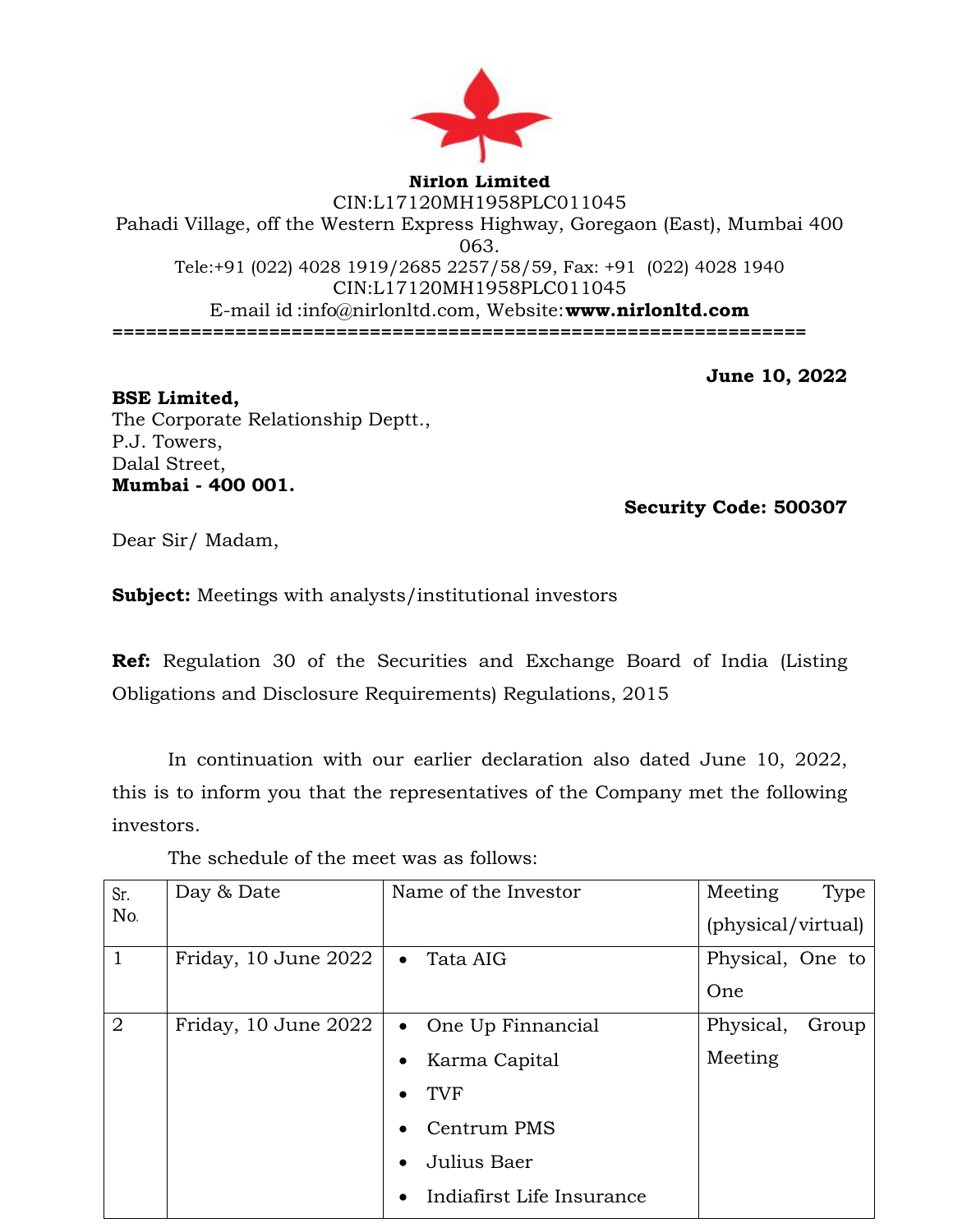

## **Nirlon Limited** CIN:L17120MH1958PLC011045 Pahadi Village, off the Western Express Highway, Goregaon (East), Mumbai 400 063. Tele:+91 (022) 4028 1919/2685 2257/58/59, Fax: +91 (022) 4028 1940 CIN:L17120MH1958PLC011045 E-mail id [:info@nirlonltd.com,](mailto:info@nirlonltd.com) Website:**[www.nirlonltd.com](http://www.nirlonltd.com/) ==============================================================**

**June 10, 2022**

**BSE Limited,**  The Corporate Relationship Deptt., P.J. Towers, Dalal Street, **Mumbai - 400 001.** 

**Security Code: 500307** 

Dear Sir/ Madam,

**Subject:** Meetings with analysts/institutional investors

**Ref:** Regulation 30 of the Securities and Exchange Board of India (Listing Obligations and Disclosure Requirements) Regulations, 2015

In continuation with our earlier declaration also dated June 10, 2022, this is to inform you that the representatives of the Company met the following investors.

The schedule of the meet was as follows:

| Sr.            | Day & Date           | Name of the Investor       | Meeting<br>Type    |
|----------------|----------------------|----------------------------|--------------------|
| No.            |                      |                            | (physical/virtual) |
|                | Friday, 10 June 2022 | Tata AIG<br>$\bullet$      | Physical, One to   |
|                |                      |                            | One                |
| $\overline{2}$ | Friday, 10 June 2022 | • One Up Finnancial        | Physical,<br>Group |
|                |                      | Karma Capital<br>$\bullet$ | Meeting            |
|                |                      | TVF                        |                    |
|                |                      | Centrum PMS<br>$\bullet$   |                    |
|                |                      | Julius Baer                |                    |
|                |                      | Indiafirst Life Insurance  |                    |